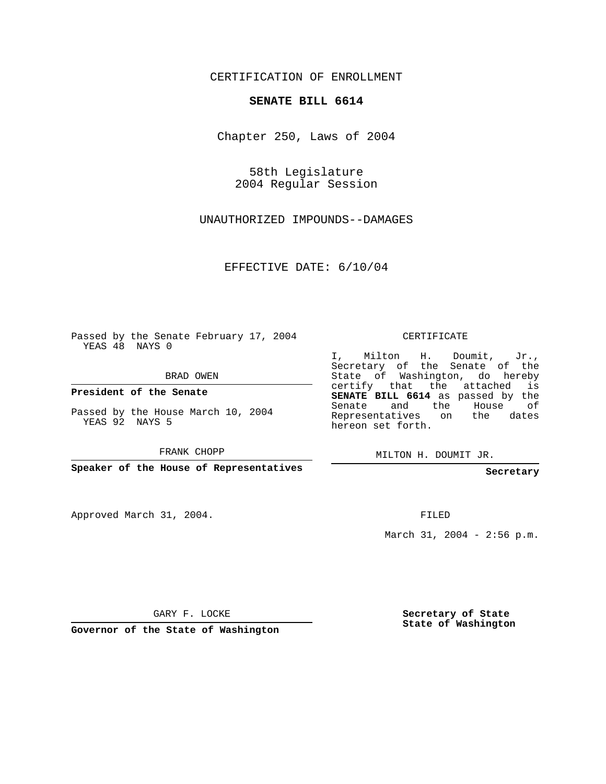CERTIFICATION OF ENROLLMENT

## **SENATE BILL 6614**

Chapter 250, Laws of 2004

58th Legislature 2004 Regular Session

UNAUTHORIZED IMPOUNDS--DAMAGES

EFFECTIVE DATE: 6/10/04

Passed by the Senate February 17, 2004 YEAS 48 NAYS 0

BRAD OWEN

**President of the Senate**

Passed by the House March 10, 2004 YEAS 92 NAYS 5

FRANK CHOPP

**Speaker of the House of Representatives**

Approved March 31, 2004.

CERTIFICATE

I, Milton H. Doumit, Jr., Secretary of the Senate of the State of Washington, do hereby certify that the attached is **SENATE BILL 6614** as passed by the Senate and the House of Representatives on the dates hereon set forth.

MILTON H. DOUMIT JR.

**Secretary**

FILED

March 31, 2004 - 2:56 p.m.

GARY F. LOCKE

**Governor of the State of Washington**

**Secretary of State State of Washington**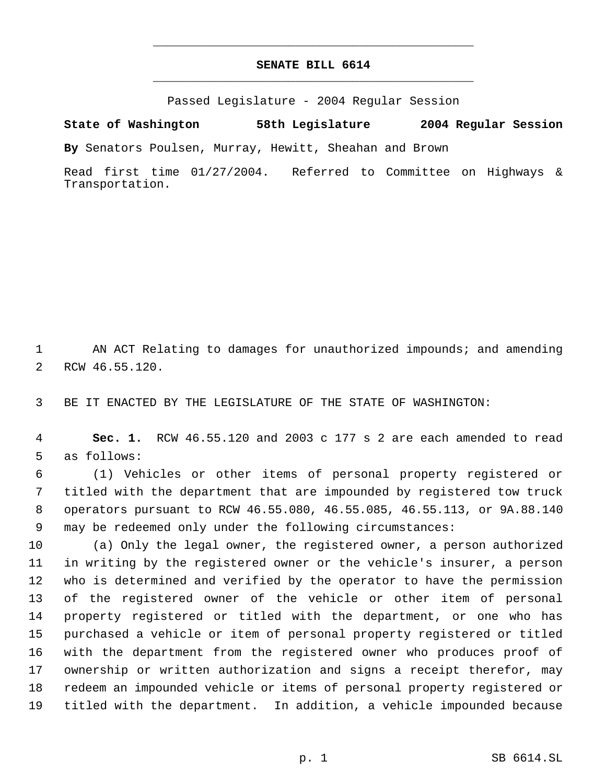## **SENATE BILL 6614** \_\_\_\_\_\_\_\_\_\_\_\_\_\_\_\_\_\_\_\_\_\_\_\_\_\_\_\_\_\_\_\_\_\_\_\_\_\_\_\_\_\_\_\_\_

\_\_\_\_\_\_\_\_\_\_\_\_\_\_\_\_\_\_\_\_\_\_\_\_\_\_\_\_\_\_\_\_\_\_\_\_\_\_\_\_\_\_\_\_\_

Passed Legislature - 2004 Regular Session

**State of Washington 58th Legislature 2004 Regular Session**

**By** Senators Poulsen, Murray, Hewitt, Sheahan and Brown

Read first time 01/27/2004. Referred to Committee on Highways & Transportation.

1 AN ACT Relating to damages for unauthorized impounds; and amending RCW 46.55.120.

BE IT ENACTED BY THE LEGISLATURE OF THE STATE OF WASHINGTON:

 **Sec. 1.** RCW 46.55.120 and 2003 c 177 s 2 are each amended to read as follows:

 (1) Vehicles or other items of personal property registered or titled with the department that are impounded by registered tow truck operators pursuant to RCW 46.55.080, 46.55.085, 46.55.113, or 9A.88.140 may be redeemed only under the following circumstances:

 (a) Only the legal owner, the registered owner, a person authorized in writing by the registered owner or the vehicle's insurer, a person who is determined and verified by the operator to have the permission of the registered owner of the vehicle or other item of personal property registered or titled with the department, or one who has purchased a vehicle or item of personal property registered or titled with the department from the registered owner who produces proof of ownership or written authorization and signs a receipt therefor, may redeem an impounded vehicle or items of personal property registered or titled with the department. In addition, a vehicle impounded because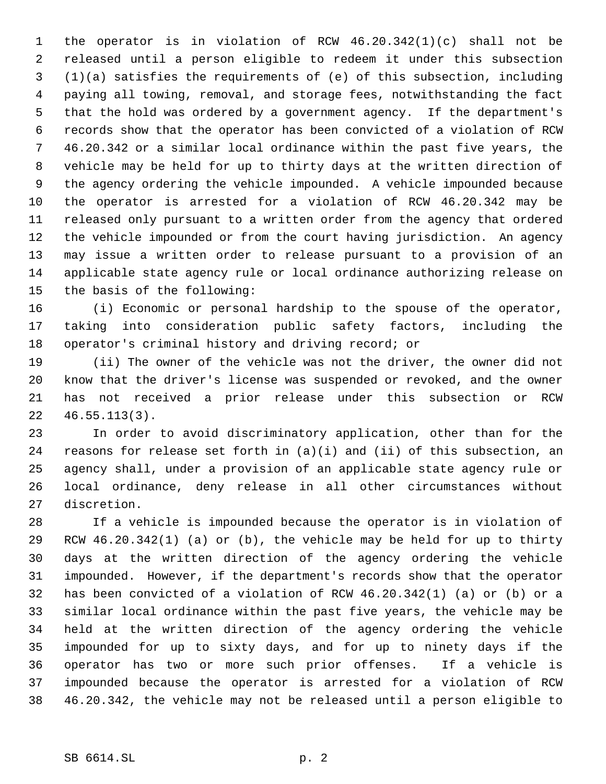the operator is in violation of RCW 46.20.342(1)(c) shall not be released until a person eligible to redeem it under this subsection (1)(a) satisfies the requirements of (e) of this subsection, including paying all towing, removal, and storage fees, notwithstanding the fact that the hold was ordered by a government agency. If the department's records show that the operator has been convicted of a violation of RCW 46.20.342 or a similar local ordinance within the past five years, the vehicle may be held for up to thirty days at the written direction of the agency ordering the vehicle impounded. A vehicle impounded because the operator is arrested for a violation of RCW 46.20.342 may be released only pursuant to a written order from the agency that ordered the vehicle impounded or from the court having jurisdiction. An agency may issue a written order to release pursuant to a provision of an applicable state agency rule or local ordinance authorizing release on the basis of the following:

 (i) Economic or personal hardship to the spouse of the operator, taking into consideration public safety factors, including the operator's criminal history and driving record; or

 (ii) The owner of the vehicle was not the driver, the owner did not know that the driver's license was suspended or revoked, and the owner has not received a prior release under this subsection or RCW 46.55.113(3).

 In order to avoid discriminatory application, other than for the reasons for release set forth in (a)(i) and (ii) of this subsection, an agency shall, under a provision of an applicable state agency rule or local ordinance, deny release in all other circumstances without discretion.

 If a vehicle is impounded because the operator is in violation of RCW 46.20.342(1) (a) or (b), the vehicle may be held for up to thirty days at the written direction of the agency ordering the vehicle impounded. However, if the department's records show that the operator has been convicted of a violation of RCW 46.20.342(1) (a) or (b) or a similar local ordinance within the past five years, the vehicle may be held at the written direction of the agency ordering the vehicle impounded for up to sixty days, and for up to ninety days if the operator has two or more such prior offenses. If a vehicle is impounded because the operator is arrested for a violation of RCW 46.20.342, the vehicle may not be released until a person eligible to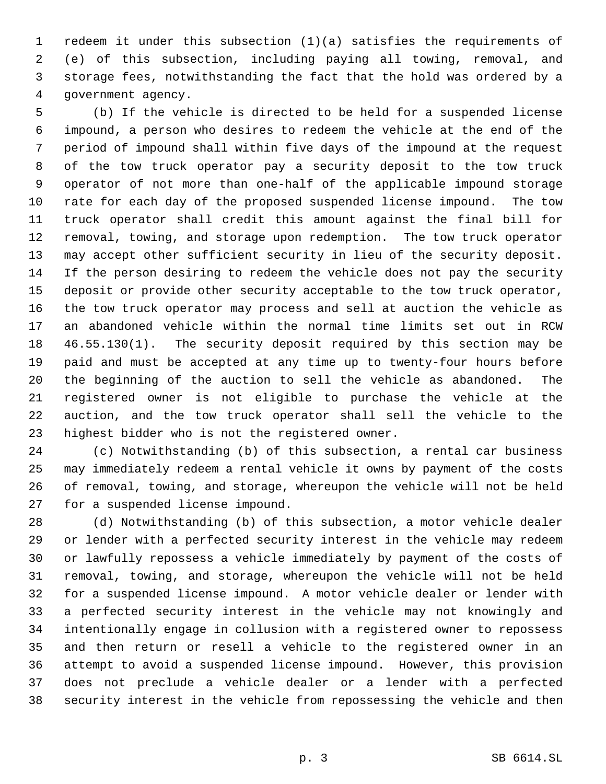redeem it under this subsection (1)(a) satisfies the requirements of (e) of this subsection, including paying all towing, removal, and storage fees, notwithstanding the fact that the hold was ordered by a government agency.

 (b) If the vehicle is directed to be held for a suspended license impound, a person who desires to redeem the vehicle at the end of the period of impound shall within five days of the impound at the request of the tow truck operator pay a security deposit to the tow truck operator of not more than one-half of the applicable impound storage rate for each day of the proposed suspended license impound. The tow truck operator shall credit this amount against the final bill for removal, towing, and storage upon redemption. The tow truck operator may accept other sufficient security in lieu of the security deposit. If the person desiring to redeem the vehicle does not pay the security deposit or provide other security acceptable to the tow truck operator, the tow truck operator may process and sell at auction the vehicle as an abandoned vehicle within the normal time limits set out in RCW 46.55.130(1). The security deposit required by this section may be paid and must be accepted at any time up to twenty-four hours before the beginning of the auction to sell the vehicle as abandoned. The registered owner is not eligible to purchase the vehicle at the auction, and the tow truck operator shall sell the vehicle to the highest bidder who is not the registered owner.

 (c) Notwithstanding (b) of this subsection, a rental car business may immediately redeem a rental vehicle it owns by payment of the costs of removal, towing, and storage, whereupon the vehicle will not be held for a suspended license impound.

 (d) Notwithstanding (b) of this subsection, a motor vehicle dealer or lender with a perfected security interest in the vehicle may redeem or lawfully repossess a vehicle immediately by payment of the costs of removal, towing, and storage, whereupon the vehicle will not be held for a suspended license impound. A motor vehicle dealer or lender with a perfected security interest in the vehicle may not knowingly and intentionally engage in collusion with a registered owner to repossess and then return or resell a vehicle to the registered owner in an attempt to avoid a suspended license impound. However, this provision does not preclude a vehicle dealer or a lender with a perfected security interest in the vehicle from repossessing the vehicle and then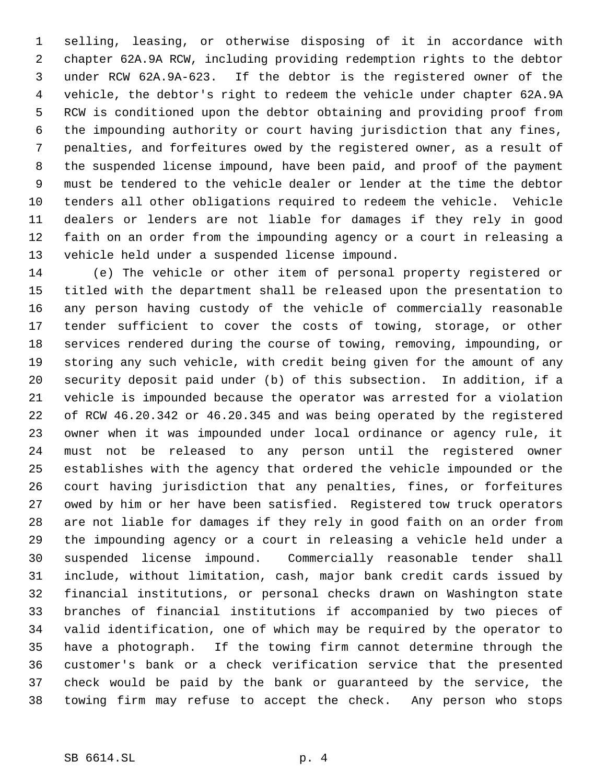selling, leasing, or otherwise disposing of it in accordance with chapter 62A.9A RCW, including providing redemption rights to the debtor under RCW 62A.9A-623. If the debtor is the registered owner of the vehicle, the debtor's right to redeem the vehicle under chapter 62A.9A RCW is conditioned upon the debtor obtaining and providing proof from the impounding authority or court having jurisdiction that any fines, penalties, and forfeitures owed by the registered owner, as a result of the suspended license impound, have been paid, and proof of the payment must be tendered to the vehicle dealer or lender at the time the debtor tenders all other obligations required to redeem the vehicle. Vehicle dealers or lenders are not liable for damages if they rely in good faith on an order from the impounding agency or a court in releasing a vehicle held under a suspended license impound.

 (e) The vehicle or other item of personal property registered or titled with the department shall be released upon the presentation to any person having custody of the vehicle of commercially reasonable tender sufficient to cover the costs of towing, storage, or other services rendered during the course of towing, removing, impounding, or storing any such vehicle, with credit being given for the amount of any security deposit paid under (b) of this subsection. In addition, if a vehicle is impounded because the operator was arrested for a violation of RCW 46.20.342 or 46.20.345 and was being operated by the registered owner when it was impounded under local ordinance or agency rule, it must not be released to any person until the registered owner establishes with the agency that ordered the vehicle impounded or the court having jurisdiction that any penalties, fines, or forfeitures owed by him or her have been satisfied. Registered tow truck operators are not liable for damages if they rely in good faith on an order from the impounding agency or a court in releasing a vehicle held under a suspended license impound. Commercially reasonable tender shall include, without limitation, cash, major bank credit cards issued by financial institutions, or personal checks drawn on Washington state branches of financial institutions if accompanied by two pieces of valid identification, one of which may be required by the operator to have a photograph. If the towing firm cannot determine through the customer's bank or a check verification service that the presented check would be paid by the bank or guaranteed by the service, the towing firm may refuse to accept the check. Any person who stops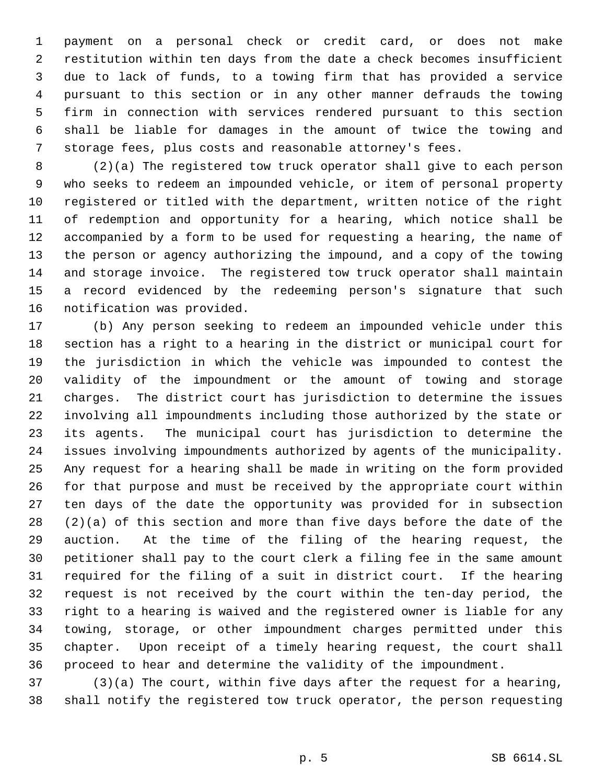payment on a personal check or credit card, or does not make restitution within ten days from the date a check becomes insufficient due to lack of funds, to a towing firm that has provided a service pursuant to this section or in any other manner defrauds the towing firm in connection with services rendered pursuant to this section shall be liable for damages in the amount of twice the towing and storage fees, plus costs and reasonable attorney's fees.

 (2)(a) The registered tow truck operator shall give to each person who seeks to redeem an impounded vehicle, or item of personal property registered or titled with the department, written notice of the right of redemption and opportunity for a hearing, which notice shall be accompanied by a form to be used for requesting a hearing, the name of the person or agency authorizing the impound, and a copy of the towing and storage invoice. The registered tow truck operator shall maintain a record evidenced by the redeeming person's signature that such notification was provided.

 (b) Any person seeking to redeem an impounded vehicle under this section has a right to a hearing in the district or municipal court for the jurisdiction in which the vehicle was impounded to contest the validity of the impoundment or the amount of towing and storage charges. The district court has jurisdiction to determine the issues involving all impoundments including those authorized by the state or its agents. The municipal court has jurisdiction to determine the issues involving impoundments authorized by agents of the municipality. Any request for a hearing shall be made in writing on the form provided for that purpose and must be received by the appropriate court within ten days of the date the opportunity was provided for in subsection (2)(a) of this section and more than five days before the date of the auction. At the time of the filing of the hearing request, the petitioner shall pay to the court clerk a filing fee in the same amount required for the filing of a suit in district court. If the hearing request is not received by the court within the ten-day period, the right to a hearing is waived and the registered owner is liable for any towing, storage, or other impoundment charges permitted under this chapter. Upon receipt of a timely hearing request, the court shall proceed to hear and determine the validity of the impoundment.

 (3)(a) The court, within five days after the request for a hearing, shall notify the registered tow truck operator, the person requesting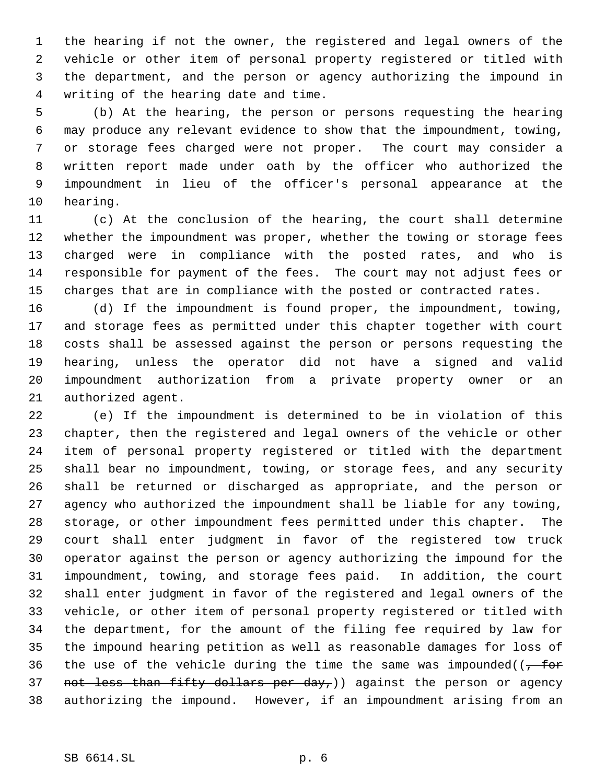the hearing if not the owner, the registered and legal owners of the vehicle or other item of personal property registered or titled with the department, and the person or agency authorizing the impound in writing of the hearing date and time.

 (b) At the hearing, the person or persons requesting the hearing may produce any relevant evidence to show that the impoundment, towing, or storage fees charged were not proper. The court may consider a written report made under oath by the officer who authorized the impoundment in lieu of the officer's personal appearance at the hearing.

 (c) At the conclusion of the hearing, the court shall determine whether the impoundment was proper, whether the towing or storage fees charged were in compliance with the posted rates, and who is responsible for payment of the fees. The court may not adjust fees or charges that are in compliance with the posted or contracted rates.

 (d) If the impoundment is found proper, the impoundment, towing, and storage fees as permitted under this chapter together with court costs shall be assessed against the person or persons requesting the hearing, unless the operator did not have a signed and valid impoundment authorization from a private property owner or an authorized agent.

 (e) If the impoundment is determined to be in violation of this chapter, then the registered and legal owners of the vehicle or other item of personal property registered or titled with the department shall bear no impoundment, towing, or storage fees, and any security shall be returned or discharged as appropriate, and the person or agency who authorized the impoundment shall be liable for any towing, storage, or other impoundment fees permitted under this chapter. The court shall enter judgment in favor of the registered tow truck operator against the person or agency authorizing the impound for the impoundment, towing, and storage fees paid. In addition, the court shall enter judgment in favor of the registered and legal owners of the vehicle, or other item of personal property registered or titled with the department, for the amount of the filing fee required by law for the impound hearing petition as well as reasonable damages for loss of 36 the use of the vehicle during the time the same was impounded( $(-\text{ for }$ 37 not less than fifty dollars per day,)) against the person or agency authorizing the impound. However, if an impoundment arising from an

## SB 6614.SL p. 6